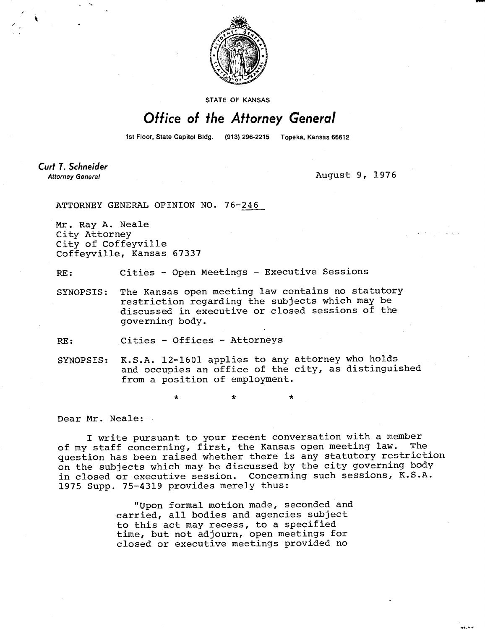

STATE OF KANSAS

## Office of the Attorney General

1st Floor, State Capitol Bldg. (913) 296-2215 Topeka, Kansas 66612

Curt T. Schneider **Attorney General** 

August 9, 1976

ATTORNEY GENERAL OPINION NO. 76-246

Mr. Ray A. Neale City Attorney City of Coffeyville Coffeyville, Kansas 67337

RE: Cities - Open Meetings - Executive Sessions

\* \*

SYNOPSIS: The Kansas open meeting law contains no statutory restriction regarding the subjects which may be discussed in executive or closed sessions of the governing body.

RE: Cities - Offices - Attorneys

SYNOPSIS: K.S.A. 12-1601 applies to any attorney who holds and occupies an office of the city, as distinguished from a position of employment.

Dear Mr. Neale:

I write pursuant to your recent conversation with a member of my staff concerning, first, the Kansas open meeting law. The question has been raised whether there is any statutory restriction on the subjects which may be discussed by the city governing body in closed or executive session. Concerning such sessions, K.S.A. 1975 Supp. 75-4319 provides merely thus:

> "Upon formal motion made, seconded and carried, all bodies and agencies subject to this act may recess, to a specified time, but not adjourn, open meetings for closed or executive meetings provided no